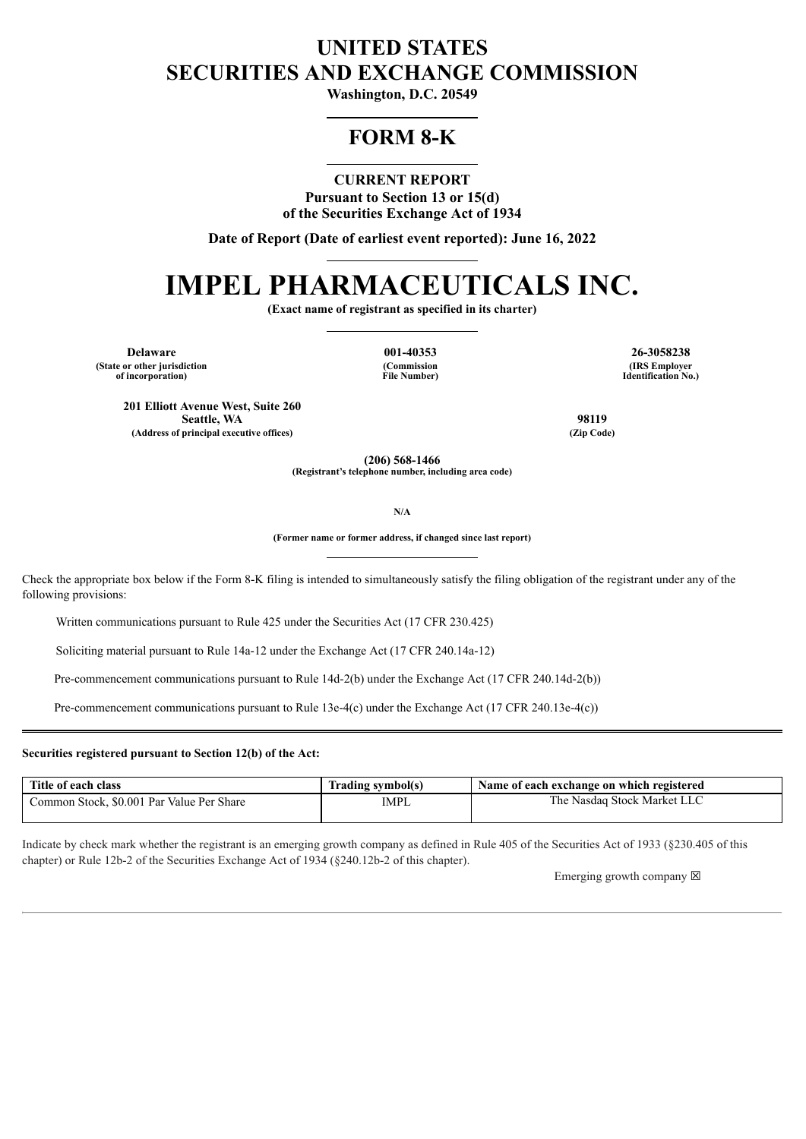## **UNITED STATES SECURITIES AND EXCHANGE COMMISSION**

**Washington, D.C. 20549**

## **FORM 8-K**

**CURRENT REPORT**

**Pursuant to Section 13 or 15(d) of the Securities Exchange Act of 1934**

**Date of Report (Date of earliest event reported): June 16, 2022**

# **IMPEL PHARMACEUTICALS INC.**

**(Exact name of registrant as specified in its charter)**

**Delaware 001-40353 26-3058238 (State or other jurisdiction of incorporation)**

**(Commission File Number)**

**(IRS Employer Identification No.)**

**201 Elliott Avenue West, Suite 260 Seattle, WA 98119 (Address of principal executive offices) (Zip Code)**

**(206) 568-1466 (Registrant's telephone number, including area code)**

**N/A**

**(Former name or former address, if changed since last report)**

Check the appropriate box below if the Form 8-K filing is intended to simultaneously satisfy the filing obligation of the registrant under any of the following provisions:

Written communications pursuant to Rule 425 under the Securities Act (17 CFR 230.425)

Soliciting material pursuant to Rule 14a-12 under the Exchange Act (17 CFR 240.14a-12)

Pre-commencement communications pursuant to Rule 14d-2(b) under the Exchange Act (17 CFR 240.14d-2(b))

Pre-commencement communications pursuant to Rule 13e-4(c) under the Exchange Act (17 CFR 240.13e-4(c))

#### **Securities registered pursuant to Section 12(b) of the Act:**

| Title of each class                       | Trading symbol(s) | Name of each exchange on which registered |
|-------------------------------------------|-------------------|-------------------------------------------|
| Common Stock, \$0.001 Par Value Per Share | IMPL              | The Nasdaq Stock Market LLC               |

Indicate by check mark whether the registrant is an emerging growth company as defined in Rule 405 of the Securities Act of 1933 (§230.405 of this chapter) or Rule 12b-2 of the Securities Exchange Act of 1934 (§240.12b-2 of this chapter).

Emerging growth company  $\boxtimes$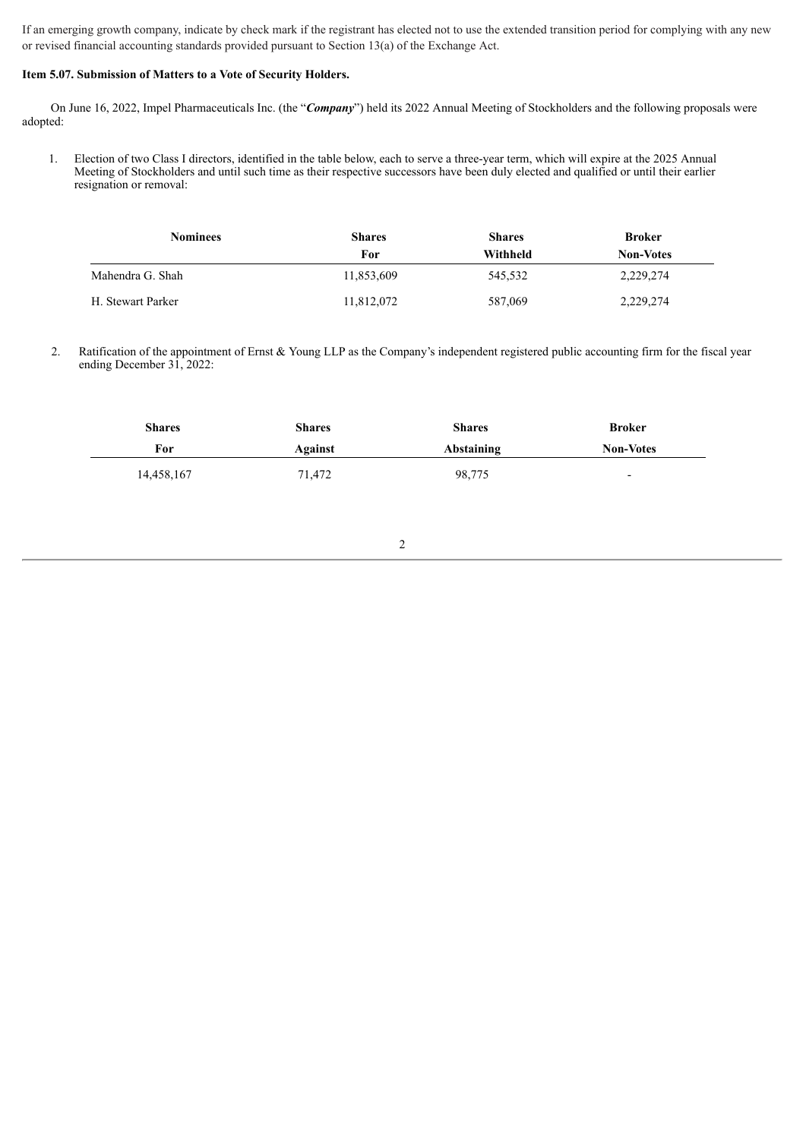If an emerging growth company, indicate by check mark if the registrant has elected not to use the extended transition period for complying with any new or revised financial accounting standards provided pursuant to Section 13(a) of the Exchange Act.

#### **Item 5.07. Submission of Matters to a Vote of Security Holders.**

On June 16, 2022, Impel Pharmaceuticals Inc. (the "*Company*") held its 2022 Annual Meeting of Stockholders and the following proposals were adopted:

1. Election of two Class I directors, identified in the table below, each to serve a three-year term, which will expire at the 2025 Annual Meeting of Stockholders and until such time as their respective successors have been duly elected and qualified or until their earlier resignation or removal:

| <b>Nominees</b>   | <b>Shares</b><br>For | <b>Shares</b><br>Withheld | <b>Broker</b><br><b>Non-Votes</b> |
|-------------------|----------------------|---------------------------|-----------------------------------|
|                   |                      |                           |                                   |
| H. Stewart Parker | 11,812,072           | 587,069                   | 2,229,274                         |

2. Ratification of the appointment of Ernst & Young LLP as the Company's independent registered public accounting firm for the fiscal year ending December 31, 2022:

| <b>Shares</b> | <b>Shares</b> | <b>Shares</b> | <b>Broker</b>            |
|---------------|---------------|---------------|--------------------------|
| For           | Against       | Abstaining    | <b>Non-Votes</b>         |
| 14,458,167    | 71,472        | 98,775        | $\overline{\phantom{0}}$ |